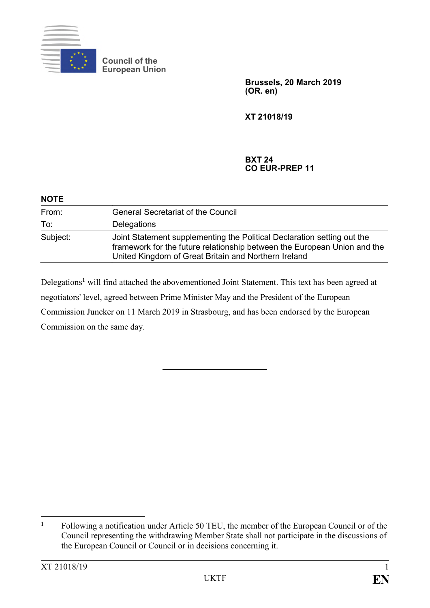

**Council of the European Union**

> **Brussels, 20 March 2019 (OR. en)**

**XT 21018/19**

**BXT 24 CO EUR-PREP 11**

| <b>NOTE</b> |                                                                                                                                                                                                             |
|-------------|-------------------------------------------------------------------------------------------------------------------------------------------------------------------------------------------------------------|
| From:       | <b>General Secretariat of the Council</b>                                                                                                                                                                   |
| To:         | Delegations                                                                                                                                                                                                 |
| Subject:    | Joint Statement supplementing the Political Declaration setting out the<br>framework for the future relationship between the European Union and the<br>United Kingdom of Great Britain and Northern Ireland |

Delegations**<sup>1</sup>** will find attached the abovementioned Joint Statement. This text has been agreed at negotiators' level, agreed between Prime Minister May and the President of the European Commission Juncker on 11 March 2019 in Strasbourg, and has been endorsed by the European Commission on the same day.

 $\mathbf{1}$ **<sup>1</sup>** Following a notification under Article 50 TEU, the member of the European Council or of the Council representing the withdrawing Member State shall not participate in the discussions of the European Council or Council or in decisions concerning it.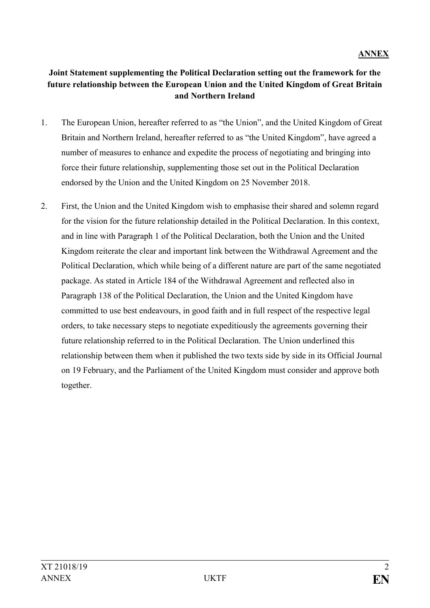## **Joint Statement supplementing the Political Declaration setting out the framework for the future relationship between the European Union and the United Kingdom of Great Britain and Northern Ireland**

- 1. The European Union, hereafter referred to as "the Union", and the United Kingdom of Great Britain and Northern Ireland, hereafter referred to as "the United Kingdom", have agreed a number of measures to enhance and expedite the process of negotiating and bringing into force their future relationship, supplementing those set out in the Political Declaration endorsed by the Union and the United Kingdom on 25 November 2018.
- 2. First, the Union and the United Kingdom wish to emphasise their shared and solemn regard for the vision for the future relationship detailed in the Political Declaration. In this context, and in line with Paragraph 1 of the Political Declaration, both the Union and the United Kingdom reiterate the clear and important link between the Withdrawal Agreement and the Political Declaration, which while being of a different nature are part of the same negotiated package. As stated in Article 184 of the Withdrawal Agreement and reflected also in Paragraph 138 of the Political Declaration, the Union and the United Kingdom have committed to use best endeavours, in good faith and in full respect of the respective legal orders, to take necessary steps to negotiate expeditiously the agreements governing their future relationship referred to in the Political Declaration. The Union underlined this relationship between them when it published the two texts side by side in its Official Journal on 19 February, and the Parliament of the United Kingdom must consider and approve both together.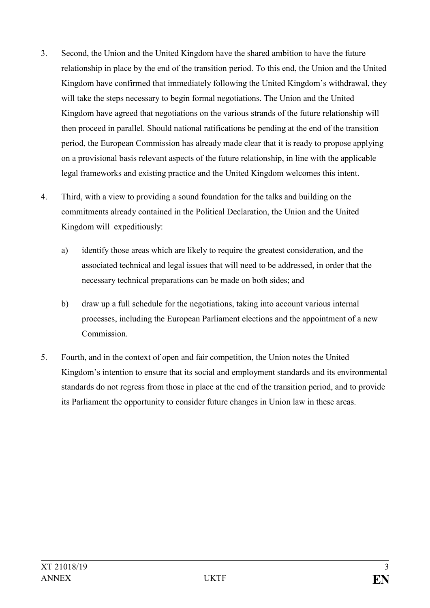- 3. Second, the Union and the United Kingdom have the shared ambition to have the future relationship in place by the end of the transition period. To this end, the Union and the United Kingdom have confirmed that immediately following the United Kingdom's withdrawal, they will take the steps necessary to begin formal negotiations. The Union and the United Kingdom have agreed that negotiations on the various strands of the future relationship will then proceed in parallel. Should national ratifications be pending at the end of the transition period, the European Commission has already made clear that it is ready to propose applying on a provisional basis relevant aspects of the future relationship, in line with the applicable legal frameworks and existing practice and the United Kingdom welcomes this intent.
- 4. Third, with a view to providing a sound foundation for the talks and building on the commitments already contained in the Political Declaration, the Union and the United Kingdom will expeditiously:
	- a) identify those areas which are likely to require the greatest consideration, and the associated technical and legal issues that will need to be addressed, in order that the necessary technical preparations can be made on both sides; and
	- b) draw up a full schedule for the negotiations, taking into account various internal processes, including the European Parliament elections and the appointment of a new **Commission**
- 5. Fourth, and in the context of open and fair competition, the Union notes the United Kingdom's intention to ensure that its social and employment standards and its environmental standards do not regress from those in place at the end of the transition period, and to provide its Parliament the opportunity to consider future changes in Union law in these areas.